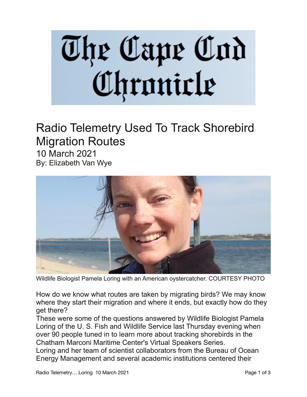## The Cape Cod<br>Chronicle

## Radio Telemetry Used To Track Shorebird Migration Routes

10 March 2021 By: Elizabeth Van Wye



Wildlife Biologist Pamela Loring with an American oystercatcher. COURTESY PHOTO

How do we know what routes are taken by migrating birds? We may know where they start their migration and where it ends, but exactly how do they get there?

These were some of the questions answered by Wildlife Biologist Pamela Loring of the U. S. Fish and Wildlife Service last Thursday evening when over 90 people tuned in to learn more about tracking shorebirds in the Chatham Marconi Maritime Center's Virtual Speakers Series.

Loring and her team of scientist collaborators from the Bureau of Ocean Energy Management and several academic institutions centered their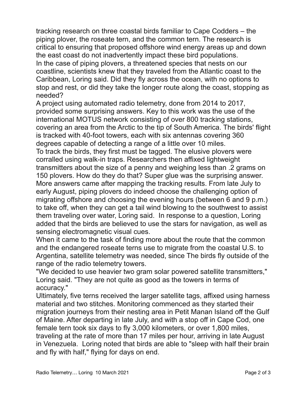tracking research on three coastal birds familiar to Cape Codders – the piping plover, the roseate tern, and the common tern. The research is critical to ensuring that proposed offshore wind energy areas up and down the east coast do not inadvertently impact these bird populations. In the case of piping plovers, a threatened species that nests on our coastline, scientists knew that they traveled from the Atlantic coast to the Caribbean, Loring said. Did they fly across the ocean, with no options to stop and rest, or did they take the longer route along the coast, stopping as needed?

A project using automated radio telemetry, done from 2014 to 2017, provided some surprising answers. Key to this work was the use of the international MOTUS network consisting of over 800 tracking stations, covering an area from the Arctic to the tip of South America. The birds' flight is tracked with 40-foot towers, each with six antennas covering 360 degrees capable of detecting a range of a little over 10 miles.

To track the birds, they first must be tagged. The elusive plovers were corralled using walk-in traps. Researchers then affixed lightweight transmitters about the size of a penny and weighing less than .2 grams on 150 plovers. How do they do that? Super glue was the surprising answer. More answers came after mapping the tracking results. From late July to early August, piping plovers do indeed choose the challenging option of migrating offshore and choosing the evening hours (between 6 and 9 p.m.) to take off, when they can get a tail wind blowing to the southwest to assist them traveling over water, Loring said. In response to a question, Loring added that the birds are believed to use the stars for navigation, as well as sensing electromagnetic visual cues.

When it came to the task of finding more about the route that the common and the endangered roseate terns use to migrate from the coastal U.S. to Argentina, satellite telemetry was needed, since The birds fly outside of the range of the radio telemetry towers.

"We decided to use heavier two gram solar powered satellite transmitters," Loring said. "They are not quite as good as the towers in terms of accuracy."

Ultimately, five terns received the larger satellite tags, affixed using harness material and two stitches. Monitoring commenced as they started their migration journeys from their nesting area in Petit Manan Island off the Gulf of Maine. After departing in late July, and with a stop off in Cape Cod, one female tern took six days to fly 3,000 kilometers, or over 1,800 miles, traveling at the rate of more than 17 miles per hour, arriving in late August in Venezuela. Loring noted that birds are able to "sleep with half their brain and fly with half," flying for days on end.